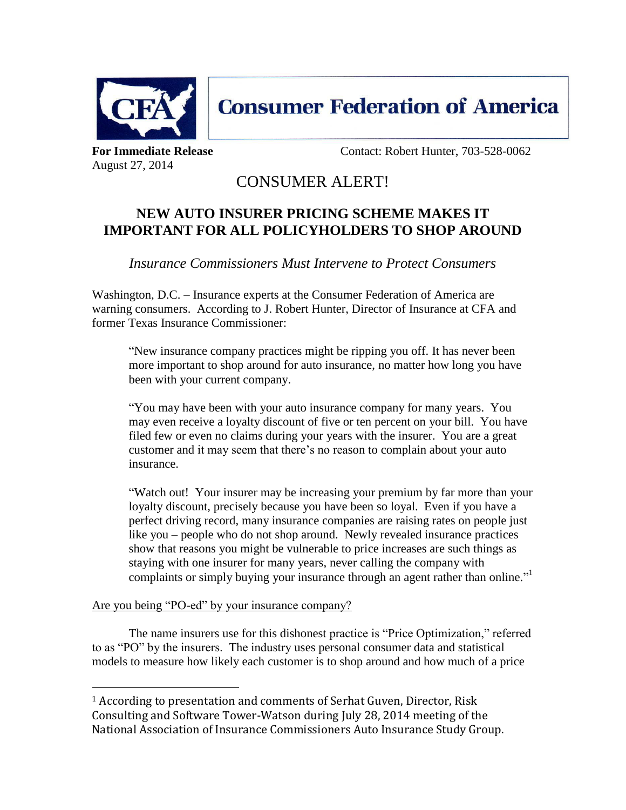

**Consumer Federation of America** 

August 27, 2014

**For Immediate Release Contact: Robert Hunter, 703-528-0062** 

## CONSUMER ALERT!

## **NEW AUTO INSURER PRICING SCHEME MAKES IT IMPORTANT FOR ALL POLICYHOLDERS TO SHOP AROUND**

*Insurance Commissioners Must Intervene to Protect Consumers* 

Washington, D.C. – Insurance experts at the Consumer Federation of America are warning consumers. According to J. Robert Hunter, Director of Insurance at CFA and former Texas Insurance Commissioner:

"New insurance company practices might be ripping you off. It has never been more important to shop around for auto insurance, no matter how long you have been with your current company.

"You may have been with your auto insurance company for many years. You may even receive a loyalty discount of five or ten percent on your bill. You have filed few or even no claims during your years with the insurer. You are a great customer and it may seem that there's no reason to complain about your auto insurance.

"Watch out! Your insurer may be increasing your premium by far more than your loyalty discount, precisely because you have been so loyal. Even if you have a perfect driving record, many insurance companies are raising rates on people just like you – people who do not shop around. Newly revealed insurance practices show that reasons you might be vulnerable to price increases are such things as staying with one insurer for many years, never calling the company with complaints or simply buying your insurance through an agent rather than online."<sup>1</sup>

Are you being "PO-ed" by your insurance company?

 $\overline{a}$ 

The name insurers use for this dishonest practice is "Price Optimization," referred to as "PO" by the insurers. The industry uses personal consumer data and statistical models to measure how likely each customer is to shop around and how much of a price

<sup>&</sup>lt;sup>1</sup> According to presentation and comments of Serhat Guven, Director, Risk Consulting and Software Tower-Watson during July 28, 2014 meeting of the National Association of Insurance Commissioners Auto Insurance Study Group.